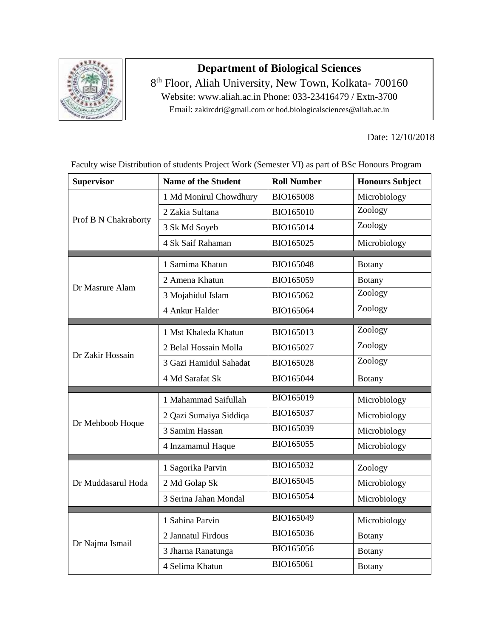

## **Department of Biological Sciences**

8<sup>th</sup> Floor, Aliah University, New Town, Kolkata- 700160 Website: www.aliah.ac.in Phone: 033-23416479 / Extn-3700 Email: zakircdri@gmail.com or hod.biologicalsciences@aliah.ac.in

Date: 12/10/2018

| <b>Supervisor</b>    | <b>Name of the Student</b> | <b>Roll Number</b> | <b>Honours Subject</b> |
|----------------------|----------------------------|--------------------|------------------------|
| Prof B N Chakraborty | 1 Md Monirul Chowdhury     | <b>BIO165008</b>   | Microbiology           |
|                      | 2 Zakia Sultana            | BIO165010          | Zoology                |
|                      | 3 Sk Md Soyeb              | BIO165014          | Zoology                |
|                      | 4 Sk Saif Rahaman          | BIO165025          | Microbiology           |
| Dr Masrure Alam      | 1 Samima Khatun            | BIO165048          | <b>Botany</b>          |
|                      | 2 Amena Khatun             | BIO165059          | <b>Botany</b>          |
|                      | 3 Mojahidul Islam          | BIO165062          | Zoology                |
|                      | 4 Ankur Halder             | BIO165064          | Zoology                |
| Dr Zakir Hossain     | 1 Mst Khaleda Khatun       | BIO165013          | Zoology                |
|                      | 2 Belal Hossain Molla      | BIO165027          | Zoology                |
|                      | 3 Gazi Hamidul Sahadat     | BIO165028          | Zoology                |
|                      | 4 Md Sarafat Sk            | BIO165044          | <b>Botany</b>          |
| Dr Mehboob Hoque     | 1 Mahammad Saifullah       | BIO165019          | Microbiology           |
|                      | 2 Qazi Sumaiya Siddiqa     | BIO165037          | Microbiology           |
|                      | 3 Samim Hassan             | BIO165039          | Microbiology           |
|                      | 4 Inzamamul Haque          | BIO165055          | Microbiology           |
| Dr Muddasarul Hoda   | 1 Sagorika Parvin          | BIO165032          | Zoology                |
|                      | 2 Md Golap Sk              | BIO165045          | Microbiology           |
|                      | 3 Serina Jahan Mondal      | BIO165054          | Microbiology           |
| Dr Najma Ismail      | 1 Sahina Parvin            | BIO165049          | Microbiology           |
|                      | 2 Jannatul Firdous         | BIO165036          | <b>Botany</b>          |
|                      | 3 Jharna Ranatunga         | BIO165056          | <b>Botany</b>          |
|                      | 4 Selima Khatun            | BIO165061          |                        |
|                      |                            |                    | <b>Botany</b>          |

Faculty wise Distribution of students Project Work (Semester VI) as part of BSc Honours Program